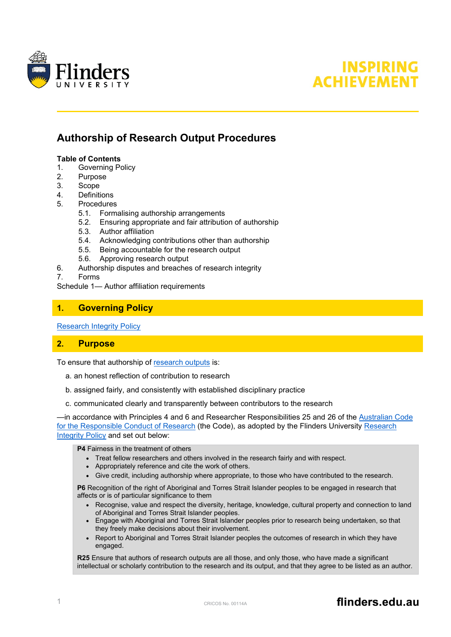



# **Authorship of Research Output Procedures**

#### **Table of Contents**

- 1. [Governing Policy](#page-0-0)
- 2. [Purpose](#page-0-1)<br>3. Scope
- 3. [Scope](#page-1-0)
- 4. [Definitions](#page-1-1)
- 5. [Procedures](#page-1-2)
	- 5.1. [Formalising authorship arrangements](#page-1-3)
	- 5.2. [Ensuring appropriate and fair attribution of authorship](#page-2-0)
	- 5.3. [Author affiliation](#page-3-0)
	- 5.4. [Acknowledging contributions other than authorship](#page-3-1)
	- 5.5. [Being accountable for the research output](#page-4-0)
	- 5.6. [Approving research output](#page-4-1)
- 6. [Authorship disputes and breaches of research integrity](#page-4-2)

7. [Forms](#page-5-0)

Schedule 1— [Author affiliation requirements](#page-6-0)

# <span id="page-0-0"></span>**1. Governing Policy**

[Research Integrity Policy](https://www.flinders.edu.au/content/dam/documents/staff/policies/research/research-integrity-policy.pdf)

# <span id="page-0-1"></span>**2. Purpose**

To ensure that authorship of [research outputs](#page-1-4) is:

- a. an honest reflection of contribution to research
- b. assigned fairly, and consistently with established disciplinary practice
- c. communicated clearly and transparently between contributors to the research

—in accordance with Principles 4 and 6 and Researcher Responsibilities 25 and 26 of the [Australian Code](https://nhmrc.gov.au/about-us/publications/australian-code-responsible-conduct-research-2018)  [for the Responsible Conduct of Research](https://nhmrc.gov.au/about-us/publications/australian-code-responsible-conduct-research-2018) (the Code), as adopted by the Flinders University [Research](https://www.flinders.edu.au/content/dam/documents/staff/policies/research/research-integrity-policy.pdf)  [Integrity Policy](https://www.flinders.edu.au/content/dam/documents/staff/policies/research/research-integrity-policy.pdf) and set out below:

**P4** Fairness in the treatment of others

- Treat fellow researchers and others involved in the research fairly and with respect.
- Appropriately reference and cite the work of others.
- Give credit, including authorship where appropriate, to those who have contributed to the research.

**P6** Recognition of the right of Aboriginal and Torres Strait Islander peoples to be engaged in research that affects or is of particular significance to them

- Recognise, value and respect the diversity, heritage, knowledge, cultural property and connection to land of Aboriginal and Torres Strait Islander peoples.
- Engage with Aboriginal and Torres Strait Islander peoples prior to research being undertaken, so that they freely make decisions about their involvement.
- Report to Aboriginal and Torres Strait Islander peoples the outcomes of research in which they have engaged.

**R25** Ensure that authors of research outputs are all those, and only those, who have made a significant intellectual or scholarly contribution to the research and its output, and that they agree to be listed as an author.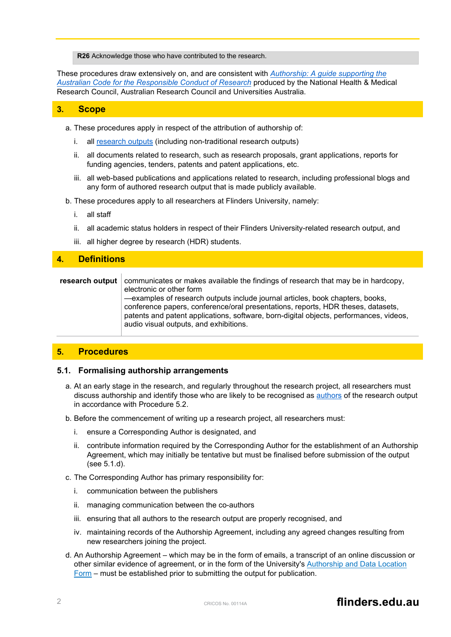**R26** Acknowledge those who have contributed to the research.

These procedures draw extensively on, and are consistent with *[Authorship: A guide supporting the](https://www.nhmrc.gov.au/about-us/publications/australian-code-responsible-conduct-research-2018#block-views-block-file-attachments-content-block-1)  [Australian Code for the Responsible Conduct of Research](https://www.nhmrc.gov.au/about-us/publications/australian-code-responsible-conduct-research-2018#block-views-block-file-attachments-content-block-1)* produced by the National Health & Medical Research Council, Australian Research Council and Universities Australia.

#### <span id="page-1-0"></span>**3. Scope**

- a. These procedures apply in respect of the attribution of authorship of:
	- i. all [research outputs](#page-1-4) (including non-traditional research outputs)
	- ii. all documents related to research, such as research proposals, grant applications, reports for funding agencies, tenders, patents and patent applications, etc.
	- iii. all web-based publications and applications related to research, including professional blogs and any form of authored research output that is made publicly available.
- b. These procedures apply to all researchers at Flinders University, namely:
	- i. all staff
	- ii. all academic status holders in respect of their Flinders University-related research output, and
	- iii. all higher degree by research (HDR) students.

# <span id="page-1-1"></span>**4. Definitions**

<span id="page-1-4"></span>**research output** communicates or makes available the findings of research that may be in hardcopy, electronic or other form —examples of research outputs include journal articles, book chapters, books,

conference papers, conference/oral presentations, reports, HDR theses, datasets, patents and patent applications, software, born-digital objects, performances, videos, audio visual outputs, and exhibitions.

# <span id="page-1-2"></span>**5. Procedures**

#### <span id="page-1-3"></span>**5.1. Formalising authorship arrangements**

- a. At an early stage in the research, and regularly throughout the research project, all researchers must discuss authorship and identify those who are likely to be recognised as [authors](#page-2-1) of the research output in accordance with Procedure 5.2.
- b. Before the commencement of writing up a research project, all researchers must:
	- i. ensure a Corresponding Author is designated, and
	- ii. contribute information required by the Corresponding Author for the establishment of an Authorship Agreement, which may initially be tentative but must be finalised before submission of the output (see 5.1.d).
- c. The Corresponding Author has primary responsibility for:
	- i. communication between the publishers
	- ii. managing communication between the co-authors
	- iii. ensuring that all authors to the research output are properly recognised, and
	- iv. maintaining records of the Authorship Agreement, including any agreed changes resulting from new researchers joining the project.
- d. An Authorship Agreement which may be in the form of emails, a transcript of an online discussion or other similar evidence of agreement, or in the form of the University's Authorship and Data Location Form – must be established prior to submitting the output for publication.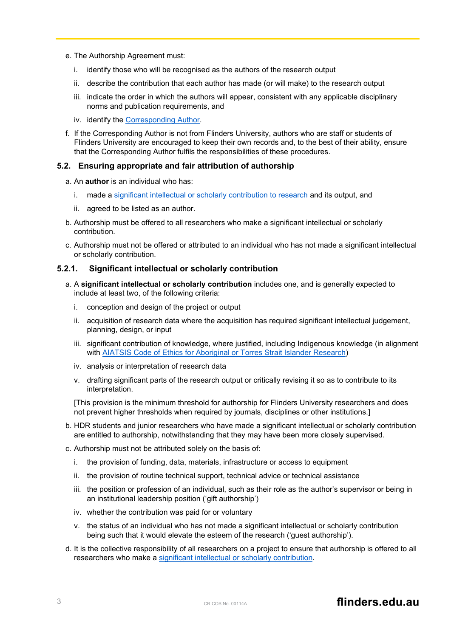- e. The Authorship Agreement must:
	- i. identify those who will be recognised as the authors of the research output
	- ii. describe the contribution that each author has made (or will make) to the research output
	- iii. indicate the order in which the authors will appear, consistent with any applicable disciplinary norms and publication requirements, and
	- iv. identify the Corresponding Author.
- f. If the Corresponding Author is not from Flinders University, authors who are staff or students of Flinders University are encouraged to keep their own records and, to the best of their ability, ensure that the Corresponding Author fulfils the responsibilities of these procedures.

#### <span id="page-2-0"></span>**5.2. Ensuring appropriate and fair attribution of authorship**

- <span id="page-2-1"></span>a. An **author** is an individual who has:
	- i. made a [significant intellectual or scholarly contribution to research](#page-2-2) and its output, and
	- ii. agreed to be listed as an author.
- b. Authorship must be offered to all researchers who make a significant intellectual or scholarly contribution.
- c. Authorship must not be offered or attributed to an individual who has not made a significant intellectual or scholarly contribution.

## **5.2.1. Significant intellectual or scholarly contribution**

- <span id="page-2-2"></span>a. A **significant intellectual or scholarly contribution** includes one, and is generally expected to include at least two, of the following criteria:
	- i. conception and design of the project or output
	- ii. acquisition of research data where the acquisition has required significant intellectual judgement, planning, design, or input
	- iii. significant contribution of knowledge, where justified, including Indigenous knowledge (in alignment with [AIATSIS Code of Ethics for Aboriginal or Torres Strait Islander Research\)](https://aiatsis.gov.au/research/ethical-research)
	- iv. analysis or interpretation of research data
	- v. drafting significant parts of the research output or critically revising it so as to contribute to its interpretation.

[This provision is the minimum threshold for authorship for Flinders University researchers and does not prevent higher thresholds when required by journals, disciplines or other institutions.]

- b. HDR students and junior researchers who have made a significant intellectual or scholarly contribution are entitled to authorship, notwithstanding that they may have been more closely supervised.
- c. Authorship must not be attributed solely on the basis of:
	- i. the provision of funding, data, materials, infrastructure or access to equipment
	- ii. the provision of routine technical support, technical advice or technical assistance
	- iii. the position or profession of an individual, such as their role as the author's supervisor or being in an institutional leadership position ('gift authorship')
	- iv. whether the contribution was paid for or voluntary
	- v. the status of an individual who has not made a significant intellectual or scholarly contribution being such that it would elevate the esteem of the research ('guest authorship').
- d. It is the collective responsibility of all researchers on a project to ensure that authorship is offered to all researchers who make a [significant intellectual or scholarly contribution.](#page-2-2)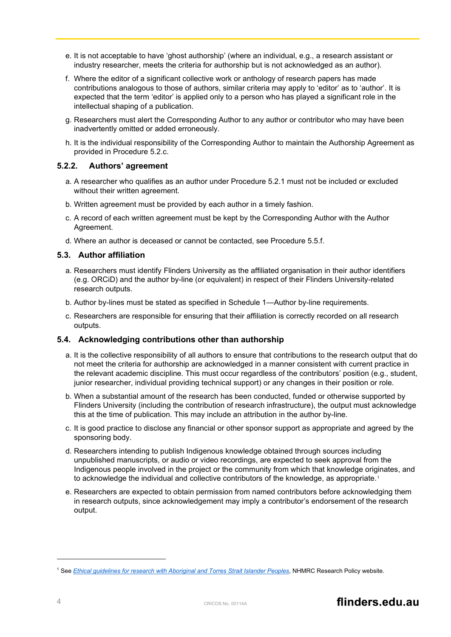- e. It is not acceptable to have 'ghost authorship' (where an individual, e.g., a research assistant or industry researcher, meets the criteria for authorship but is not acknowledged as an author).
- f. Where the editor of a significant collective work or anthology of research papers has made contributions analogous to those of authors, similar criteria may apply to 'editor' as to 'author'. It is expected that the term 'editor' is applied only to a person who has played a significant role in the intellectual shaping of a publication.
- g. Researchers must alert the Corresponding Author to any author or contributor who may have been inadvertently omitted or added erroneously.
- h. It is the individual responsibility of the Corresponding Author to maintain the Authorship Agreement as provided in Procedure 5.2.c.

## **5.2.2. Authors' agreement**

- a. A researcher who qualifies as an author under Procedure 5.2.1 must not be included or excluded without their written agreement.
- b. Written agreement must be provided by each author in a timely fashion.
- c. A record of each written agreement must be kept by the Corresponding Author with the Author Agreement.
- d. Where an author is deceased or cannot be contacted, see Procedure 5.5.f.

#### <span id="page-3-0"></span>**5.3. Author affiliation**

- a. Researchers must identify Flinders University as the affiliated organisation in their author identifiers (e.g. ORCiD) and the author by-line (or equivalent) in respect of their Flinders University-related research outputs.
- b. Author by-lines must be stated as specified in Schedule 1—Author by-line requirements.
- c. Researchers are responsible for ensuring that their affiliation is correctly recorded on all research outputs.

#### <span id="page-3-1"></span>**5.4. Acknowledging contributions other than authorship**

- a. It is the collective responsibility of all authors to ensure that contributions to the research output that do not meet the criteria for authorship are acknowledged in a manner consistent with current practice in the relevant academic discipline. This must occur regardless of the contributors' position (e.g., student, junior researcher, individual providing technical support) or any changes in their position or role.
- b. When a substantial amount of the research has been conducted, funded or otherwise supported by Flinders University (including the contribution of research infrastructure), the output must acknowledge this at the time of publication. This may include an attribution in the author by-line.
- c. It is good practice to disclose any financial or other sponsor support as appropriate and agreed by the sponsoring body.
- d. Researchers intending to publish Indigenous knowledge obtained through sources including unpublished manuscripts, or audio or video recordings, are expected to seek approval from the Indigenous people involved in the project or the community from which that knowledge originates, and to acknowledge the individual and collective contributors of the knowledge, as appropriate.<sup>[1](#page-3-2)</sup>
- e. Researchers are expected to obtain permission from named contributors before acknowledging them in research outputs, since acknowledgement may imply a contributor's endorsement of the research output.

<span id="page-3-2"></span><sup>1</sup> See *Ethical guidelines for [research with Aboriginal and Torres Strait Islander Peoples](https://www.nhmrc.gov.au/about-us/resources/ethical-conduct-research-aboriginal-and-torres-strait-islander-peoples-and-communities)*, NHMRC Research Policy website.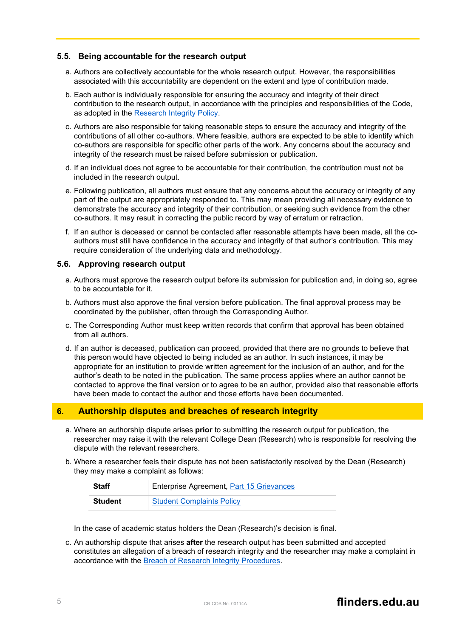### <span id="page-4-0"></span>**5.5. Being accountable for the research output**

- a. Authors are collectively accountable for the whole research output. However, the responsibilities associated with this accountability are dependent on the extent and type of contribution made.
- b. Each author is individually responsible for ensuring the accuracy and integrity of their direct contribution to the research output, in accordance with the principles and responsibilities of the Code, as adopted in the [Research Integrity Policy.](https://www.flinders.edu.au/content/dam/documents/staff/policies/research/research-integrity-policy.pdf)
- c. Authors are also responsible for taking reasonable steps to ensure the accuracy and integrity of the contributions of all other co-authors. Where feasible, authors are expected to be able to identify which co-authors are responsible for specific other parts of the work. Any concerns about the accuracy and integrity of the research must be raised before submission or publication.
- d. If an individual does not agree to be accountable for their contribution, the contribution must not be included in the research output.
- e. Following publication, all authors must ensure that any concerns about the accuracy or integrity of any part of the output are appropriately responded to. This may mean providing all necessary evidence to demonstrate the accuracy and integrity of their contribution, or seeking such evidence from the other co-authors. It may result in correcting the public record by way of erratum or retraction.
- f. If an author is deceased or cannot be contacted after reasonable attempts have been made, all the coauthors must still have confidence in the accuracy and integrity of that author's contribution. This may require consideration of the underlying data and methodology.

#### <span id="page-4-1"></span>**5.6. Approving research output**

- a. Authors must approve the research output before its submission for publication and, in doing so, agree to be accountable for it.
- b. Authors must also approve the final version before publication. The final approval process may be coordinated by the publisher, often through the Corresponding Author.
- c. The Corresponding Author must keep written records that confirm that approval has been obtained from all authors.
- d. If an author is deceased, publication can proceed, provided that there are no grounds to believe that this person would have objected to being included as an author. In such instances, it may be appropriate for an institution to provide written agreement for the inclusion of an author, and for the author's death to be noted in the publication. The same process applies where an author cannot be contacted to approve the final version or to agree to be an author, provided also that reasonable efforts have been made to contact the author and those efforts have been documented.

# <span id="page-4-2"></span>**6. Authorship disputes and breaches of research integrity**

- a. Where an authorship dispute arises **prior** to submitting the research output for publication, the researcher may raise it with the relevant College Dean (Research) who is responsible for resolving the dispute with the relevant researchers.
- b. Where a researcher feels their dispute has not been satisfactorily resolved by the Dean (Research) they may make a complaint as follows:

| <b>Staff</b> | Enterprise Agreement, Part 15 Grievances |
|--------------|------------------------------------------|
| Student      | <b>Student Complaints Policy</b>         |

In the case of academic status holders the Dean (Research)'s decision is final.

c. An authorship dispute that arises **after** the research output has been submitted and accepted constitutes an allegation of a breach of research integrity and the researcher may make a complaint in accordance with the [Breach of Research Integrity Procedures.](https://www.flinders.edu.au/content/dam/documents/staff/policies/research/breach-of-research-integrity-procedures.pdf)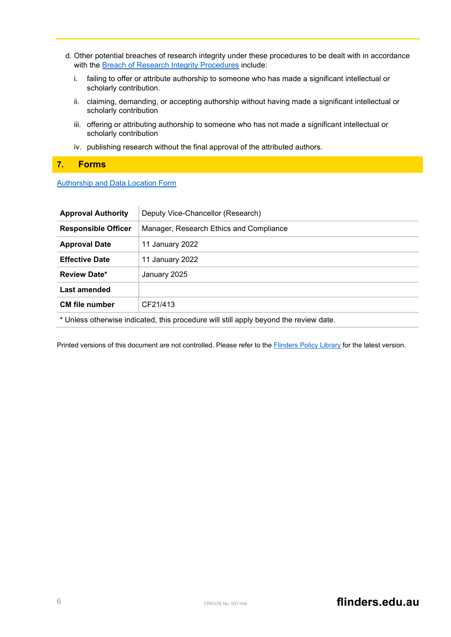- d. Other potential breaches of research integrity under these procedures to be dealt with in accordance with the [Breach of Research Integrity Procedures](https://www.flinders.edu.au/content/dam/documents/staff/policies/research/breach-of-research-integrity-procedures.pdf) include:
	- i. failing to offer or attribute authorship to someone who has made a significant intellectual or scholarly contribution.
	- ii. claiming, demanding, or accepting authorship without having made a significant intellectual or scholarly contribution
	- iii. offering or attributing authorship to someone who has not made a significant intellectual or scholarly contribution
	- iv. publishing research without the final approval of the attributed authors.

# <span id="page-5-0"></span>**7. Forms**

#### [Authorship and Data Location Form](https://staff.flinders.edu.au/research/integrity/integrity#management)

| <b>Approval Authority</b>                                                             | Deputy Vice-Chancellor (Research)       |
|---------------------------------------------------------------------------------------|-----------------------------------------|
| <b>Responsible Officer</b>                                                            | Manager, Research Ethics and Compliance |
| <b>Approval Date</b>                                                                  | 11 January 2022                         |
| <b>Effective Date</b>                                                                 | 11 January 2022                         |
| <b>Review Date*</b>                                                                   | January 2025                            |
| Last amended                                                                          |                                         |
| <b>CM</b> file number                                                                 | CF21/413                                |
| * Unless otherwise indicated, this procedure will still apply beyond the review date. |                                         |

Printed versions of this document are not controlled. Please refer to the Flinders [Policy Library](https://www.flinders.edu.au/policies) for the latest version.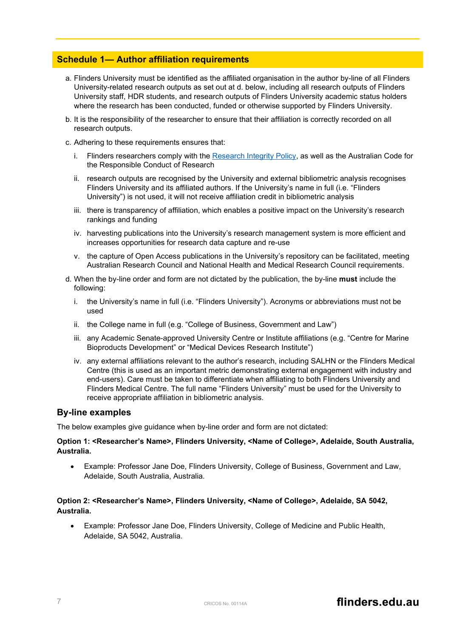# <span id="page-6-0"></span>**Schedule 1— Author affiliation requirements**

- a. Flinders University must be identified as the affiliated organisation in the author by-line of all Flinders University-related research outputs as set out at d. below, including all research outputs of Flinders University staff, HDR students, and research outputs of Flinders University academic status holders where the research has been conducted, funded or otherwise supported by Flinders University.
- b. It is the responsibility of the researcher to ensure that their affiliation is correctly recorded on all research outputs.
- c. Adhering to these requirements ensures that:
	- i. Flinders researchers comply with the [Research Integrity Policy,](https://www.flinders.edu.au/content/dam/documents/staff/policies/research/research-integrity-policy.pdf) as well as the Australian Code for the Responsible Conduct of Research
	- ii. research outputs are recognised by the University and external bibliometric analysis recognises Flinders University and its affiliated authors. If the University's name in full (i.e. "Flinders University") is not used, it will not receive affiliation credit in bibliometric analysis
	- iii. there is transparency of affiliation, which enables a positive impact on the University's research rankings and funding
	- iv. harvesting publications into the University's research management system is more efficient and increases opportunities for research data capture and re-use
	- v. the capture of Open Access publications in the University's repository can be facilitated, meeting Australian Research Council and National Health and Medical Research Council requirements.
- d. When the by-line order and form are not dictated by the publication, the by-line **must** include the following:
	- i. the University's name in full (i.e. "Flinders University"). Acronyms or abbreviations must not be used
	- ii. the College name in full (e.g. "College of Business, Government and Law")
	- iii. any Academic Senate-approved University Centre or Institute affiliations (e.g. "Centre for Marine Bioproducts Development" or "Medical Devices Research Institute")
	- iv. any external affiliations relevant to the author's research, including SALHN or the Flinders Medical Centre (this is used as an important metric demonstrating external engagement with industry and end-users). Care must be taken to differentiate when affiliating to both Flinders University and Flinders Medical Centre. The full name "Flinders University" must be used for the University to receive appropriate affiliation in bibliometric analysis.

#### **By-line examples**

The below examples give guidance when by-line order and form are not dictated:

#### **Option 1: <Researcher's Name>, Flinders University, <Name of College>, Adelaide, South Australia, Australia.**

• Example: Professor Jane Doe, Flinders University, College of Business, Government and Law, Adelaide, South Australia, Australia.

## **Option 2: <Researcher's Name>, Flinders University, <Name of College>, Adelaide, SA 5042, Australia.**

• Example: Professor Jane Doe, Flinders University, College of Medicine and Public Health, Adelaide, SA 5042, Australia.